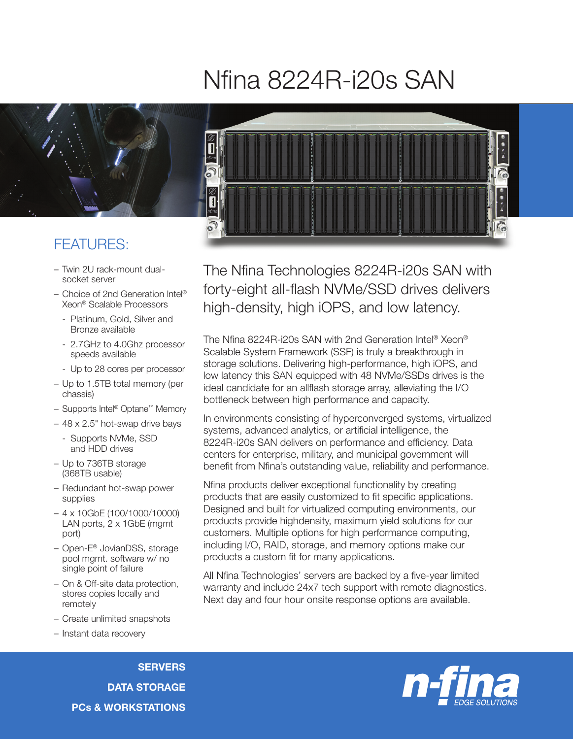## Nfina 8224R-i20s SAN



## FEATURES:

- Twin 2U rack-mount dualsocket server
- Choice of 2nd Generation Intel® Xeon® Scalable Processors
	- Platinum, Gold, Silver and Bronze available
	- 2.7GHz to 4.0Ghz processor speeds available
	- Up to 28 cores per processor
- Up to 1.5TB total memory (per chassis)
- Supports Intel® Optane™ Memory
- 48 x 2.5" hot-swap drive bays
	- Supports NVMe, SSD and HDD drives
- Up to 736TB storage (368TB usable)
- Redundant hot-swap power supplies
- 4 x 10GbE (100/1000/10000) LAN ports, 2 x 1GbE (mgmt port)
- Open-E® JovianDSS, storage pool mgmt. software w/ no single point of failure
- On & Off-site data protection, stores copies locally and remotely
- Create unlimited snapshots
- Instant data recovery

0 O

The Nfina Technologies 8224R-i20s SAN with forty-eight all-flash NVMe/SSD drives delivers high-density, high iOPS, and low latency.

The Nfina 8224R-i20s SAN with 2nd Generation Intel® Xeon® Scalable System Framework (SSF) is truly a breakthrough in storage solutions. Delivering high-performance, high iOPS, and low latency this SAN equipped with 48 NVMe/SSDs drives is the ideal candidate for an allflash storage array, alleviating the I/O bottleneck between high performance and capacity.

In environments consisting of hyperconverged systems, virtualized systems, advanced analytics, or artificial intelligence, the 8224R-i20s SAN delivers on performance and efficiency. Data centers for enterprise, military, and municipal government will benefit from Nfina's outstanding value, reliability and performance.

Nfina products deliver exceptional functionality by creating products that are easily customized to fit specific applications. Designed and built for virtualized computing environments, our products provide highdensity, maximum yield solutions for our customers. Multiple options for high performance computing, including I/O, RAID, storage, and memory options make our products a custom fit for many applications.

All Nfina Technologies' servers are backed by a five-year limited warranty and include 24x7 tech support with remote diagnostics. Next day and four hour onsite response options are available.

**SERVERS** DATA STORAGE PCs & WORKSTATIONS

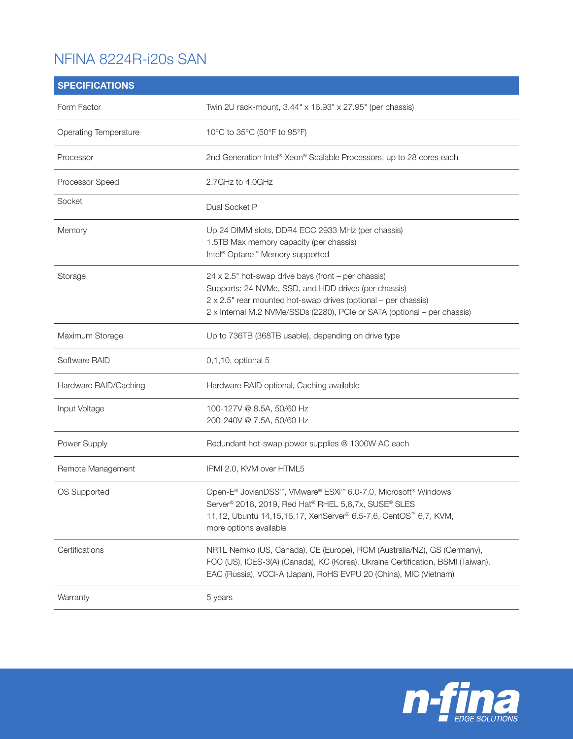## NFINA 8224R-i20s SAN

| <b>SPECIFICATIONS</b>        |                                                                                                                                                                                                                                                           |
|------------------------------|-----------------------------------------------------------------------------------------------------------------------------------------------------------------------------------------------------------------------------------------------------------|
| Form Factor                  | Twin 2U rack-mount, 3.44" x 16.93" x 27.95" (per chassis)                                                                                                                                                                                                 |
| <b>Operating Temperature</b> | 10°C to 35°C (50°F to 95°F)                                                                                                                                                                                                                               |
| Processor                    | 2nd Generation Intel® Xeon® Scalable Processors, up to 28 cores each                                                                                                                                                                                      |
| Processor Speed              | 2.7GHz to 4.0GHz                                                                                                                                                                                                                                          |
| Socket                       | Dual Socket P                                                                                                                                                                                                                                             |
| Memory                       | Up 24 DIMM slots, DDR4 ECC 2933 MHz (per chassis)<br>1.5TB Max memory capacity (per chassis)<br>Intel <sup>®</sup> Optane <sup>™</sup> Memory supported                                                                                                   |
| Storage                      | 24 x 2.5" hot-swap drive bays (front - per chassis)<br>Supports: 24 NVMe, SSD, and HDD drives (per chassis)<br>2 x 2.5" rear mounted hot-swap drives (optional - per chassis)<br>2 x Internal M.2 NVMe/SSDs (2280), PCIe or SATA (optional - per chassis) |
| Maximum Storage              | Up to 736TB (368TB usable), depending on drive type                                                                                                                                                                                                       |
| Software RAID                | 0,1,10, optional 5                                                                                                                                                                                                                                        |
| Hardware RAID/Caching        | Hardware RAID optional, Caching available                                                                                                                                                                                                                 |
| Input Voltage                | 100-127V @ 8.5A, 50/60 Hz<br>200-240V @ 7.5A, 50/60 Hz                                                                                                                                                                                                    |
| Power Supply                 | Redundant hot-swap power supplies @ 1300W AC each                                                                                                                                                                                                         |
| Remote Management            | IPMI 2.0, KVM over HTML5                                                                                                                                                                                                                                  |
| OS Supported                 | Open-E® JovianDSS™, VMware® ESXi™ 6.0-7.0, Microsoft® Windows<br>Server® 2016, 2019, Red Hat® RHEL 5,6,7x, SUSE® SLES<br>11,12, Ubuntu 14,15,16,17, XenServer® 6.5-7.6, CentOS™ 6,7, KVM,<br>more options available                                       |
| Certifications               | NRTL Nemko (US, Canada), CE (Europe), RCM (Australia/NZ), GS (Germany),<br>FCC (US), ICES-3(A) (Canada), KC (Korea), Ukraine Certification, BSMI (Taiwan),<br>EAC (Russia), VCCI-A (Japan), RoHS EVPU 20 (China), MIC (Vietnam)                           |
| Warranty                     | 5 years                                                                                                                                                                                                                                                   |